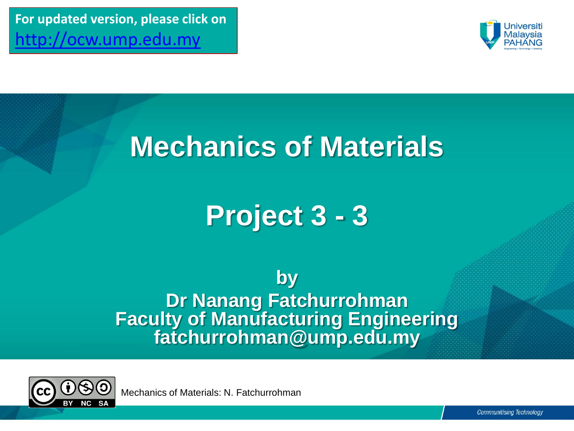**For updated version, please click on**  [http://ocw.ump.edu.my](http://ocw.ump.edu.my/) 



## **Mechanics of Materials**

## **Project 3 - 3**

**by Dr Nanang Fatchurrohman Faculty of Manufacturing Engineering fatchurrohman@ump.edu.my**



Mechanics of Materials: N. Fatchurrohman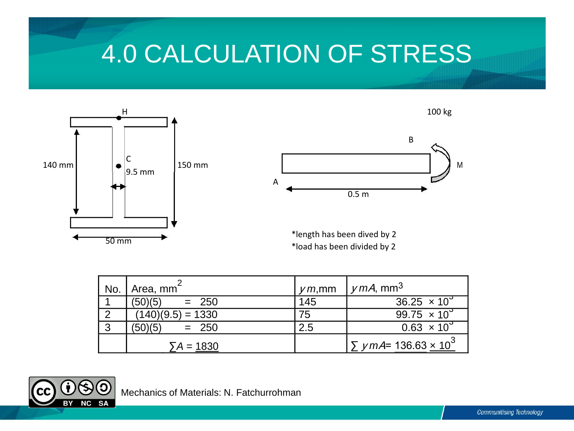## 4.0 CALCULATION OF STRESS



| No. | Area, mm <sup>-</sup> | $\gamma$ m, mm | $\mu$ mA, mm <sup>3</sup>                             |
|-----|-----------------------|----------------|-------------------------------------------------------|
|     | (50)(5)<br>$= 250$    | 145            | 36.25 $\times$ 10 <sup>3</sup>                        |
|     | $(140)(9.5) = 1330$   | 75             | 99.75 $\times$ 10 <sup>9</sup>                        |
| っ   | $= 250$<br>(50)(5)    | 2.5            | $0.63 \times 10^{3}$                                  |
|     | $\Sigma A = 1830$     |                | $\Sigma$ <i>y</i> mA= 136.63 $\times$ 10 <sup>3</sup> |